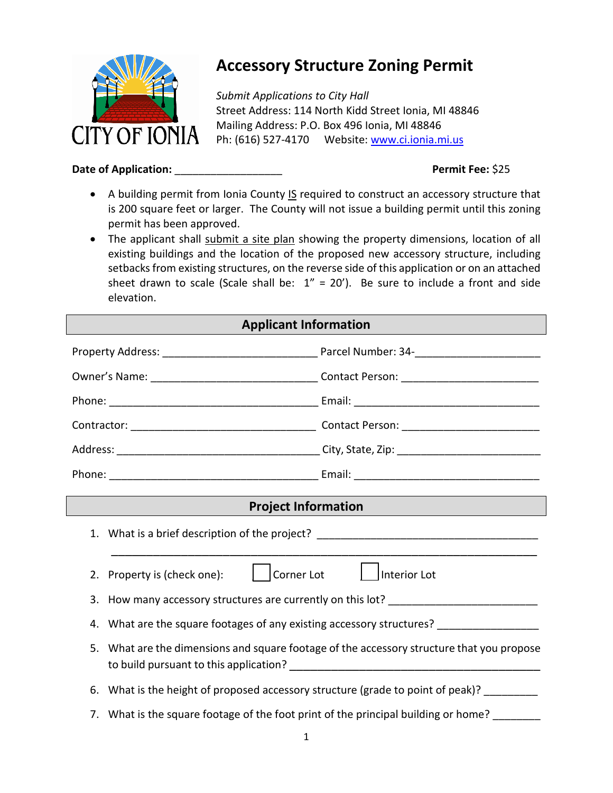

# **Accessory Structure Zoning Permit**

*Submit Applications to City Hall* Street Address: 114 North Kidd Street Ionia, MI 48846 Mailing Address: P.O. Box 496 Ionia, MI 48846 Ph: (616) 527-4170 Website: [www.ci.ionia.mi.us](http://www.ci.ionia.mi.us/)

## **Date of Application:** \_\_\_\_\_\_\_\_\_\_\_\_\_\_\_\_\_\_ **Permit Fee:** \$25

- A building permit from Ionia County IS required to construct an accessory structure that is 200 square feet or larger. The County will not issue a building permit until this zoning permit has been approved.
- The applicant shall submit a site plan showing the property dimensions, location of all existing buildings and the location of the proposed new accessory structure, including setbacks from existing structures, on the reverse side of this application or on an attached sheet drawn to scale (Scale shall be:  $1'' = 20'$ ). Be sure to include a front and side elevation.

| <b>Applicant Information</b> |                                                                                    |                                                                                           |  |  |
|------------------------------|------------------------------------------------------------------------------------|-------------------------------------------------------------------------------------------|--|--|
|                              |                                                                                    |                                                                                           |  |  |
|                              |                                                                                    |                                                                                           |  |  |
|                              |                                                                                    |                                                                                           |  |  |
|                              |                                                                                    |                                                                                           |  |  |
|                              |                                                                                    |                                                                                           |  |  |
|                              |                                                                                    |                                                                                           |  |  |
| <b>Project Information</b>   |                                                                                    |                                                                                           |  |  |
|                              | 1. What is a brief description of the project? _________________________________   |                                                                                           |  |  |
|                              | Corner Lot<br>2. Property is (check one):                                          | Interior Lot                                                                              |  |  |
|                              |                                                                                    | 3. How many accessory structures are currently on this lot? ____________________          |  |  |
|                              | 4. What are the square footages of any existing accessory structures? ___________  |                                                                                           |  |  |
|                              |                                                                                    | 5. What are the dimensions and square footage of the accessory structure that you propose |  |  |
|                              |                                                                                    | 6. What is the height of proposed accessory structure (grade to point of peak)? ________  |  |  |
|                              | 7. What is the square footage of the foot print of the principal building or home? |                                                                                           |  |  |